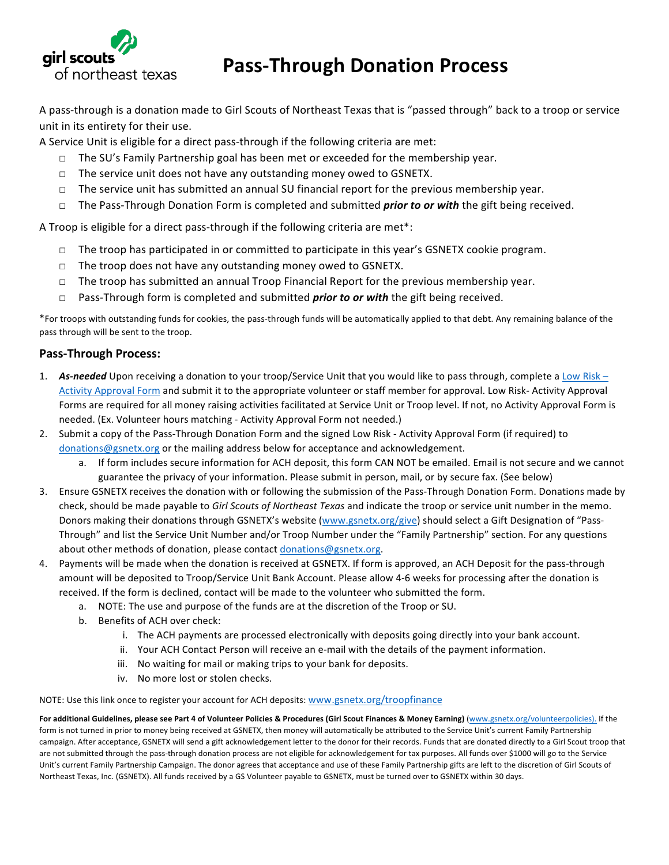

## **Pass-Through Donation Process**

A pass-through is a donation made to Girl Scouts of Northeast Texas that is "passed through" back to a troop or service unit in its entirety for their use.

A Service Unit is eligible for a direct pass-through if the following criteria are met:

- $\Box$  The SU's Family Partnership goal has been met or exceeded for the membership year.
- $\Box$  The service unit does not have any outstanding money owed to GSNETX.
- $\Box$  The service unit has submitted an annual SU financial report for the previous membership year.
- □ The Pass-Through Donation Form is completed and submitted *prior to or with* the gift being received.

A Troop is eligible for a direct pass-through if the following criteria are met\*:

- $\Box$  The troop has participated in or committed to participate in this year's GSNETX cookie program.
- $\Box$  The troop does not have any outstanding money owed to GSNETX.
- $\Box$  The troop has submitted an annual Troop Financial Report for the previous membership year.
- □ Pass-Through form is completed and submitted *prior to or with* the gift being received.

\*For troops with outstanding funds for cookies, the pass-through funds will be automatically applied to that debt. Any remaining balance of the pass through will be sent to the troop.

## **Pass-Through Process:**

- 1. **As-needed** Upon receiving a donation to your troop/Service Unit that you would like to pass through, complete a Low Risk Activity Approval Form and submit it to the appropriate volunteer or staff member for approval. Low Risk- Activity Approval Forms are required for all money raising activities facilitated at Service Unit or Troop level. If not, no Activity Approval Form is needed. (Ex. Volunteer hours matching - Activity Approval Form not needed.)
- 2. Submit a copy of the Pass-Through Donation Form and the signed Low Risk Activity Approval Form (if required) to donations@gsnetx.org or the mailing address below for acceptance and acknowledgement.
	- a. If form includes secure information for ACH deposit, this form CAN NOT be emailed. Email is not secure and we cannot guarantee the privacy of your information. Please submit in person, mail, or by secure fax. (See below)
- 3. Ensure GSNETX receives the donation with or following the submission of the Pass-Through Donation Form. Donations made by check, should be made payable to *Girl Scouts of Northeast Texas* and indicate the troop or service unit number in the memo. Donors making their donations through GSNETX's website (www.gsnetx.org/give) should select a Gift Designation of "Pass-Through" and list the Service Unit Number and/or Troop Number under the "Family Partnership" section. For any questions about other methods of donation, please contact donations@gsnetx.org.
- 4. Payments will be made when the donation is received at GSNETX. If form is approved, an ACH Deposit for the pass-through amount will be deposited to Troop/Service Unit Bank Account. Please allow 4-6 weeks for processing after the donation is received. If the form is declined, contact will be made to the volunteer who submitted the form.
	- a. NOTE: The use and purpose of the funds are at the discretion of the Troop or SU.
	- b. Benefits of ACH over check:
		- i. The ACH payments are processed electronically with deposits going directly into your bank account.
		- ii. Your ACH Contact Person will receive an e-mail with the details of the payment information.
		- iii. No waiting for mail or making trips to your bank for deposits.
		- iv. No more lost or stolen checks.

NOTE: Use this link once to register your account for ACH deposits: www.gsnetx.org/troopfinance

For additional Guidelines, please see Part 4 of Volunteer Policies & Procedures (Girl Scout Finances & Money Earning) (www.gsnetx.org/volunteerpolicies). If the form is not turned in prior to money being received at GSNETX, then money will automatically be attributed to the Service Unit's current Family Partnership campaign. After acceptance, GSNETX will send a gift acknowledgement letter to the donor for their records. Funds that are donated directly to a Girl Scout troop that are not submitted through the pass-through donation process are not eligible for acknowledgement for tax purposes. All funds over \$1000 will go to the Service Unit's current Family Partnership Campaign. The donor agrees that acceptance and use of these Family Partnership gifts are left to the discretion of Girl Scouts of Northeast Texas, Inc. (GSNETX). All funds received by a GS Volunteer payable to GSNETX, must be turned over to GSNETX within 30 days.